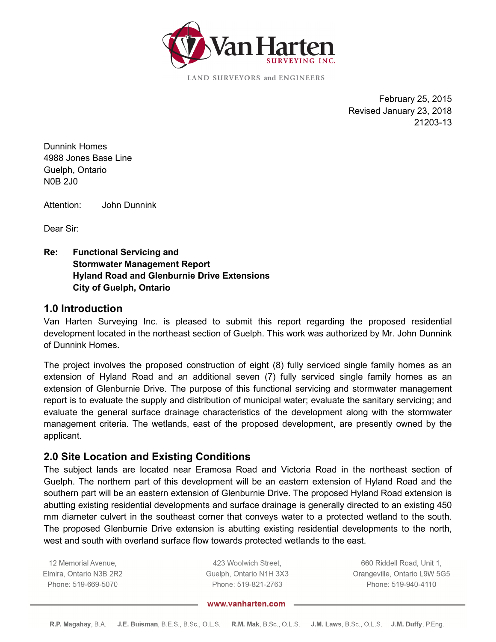

**LAND SURVEYORS and ENGINEERS** 

 February 25, 2015 Revised January 23, 2018 21203-13

Dunnink Homes 4988 Jones Base Line Guelph, Ontario N0B 2J0

Attention: John Dunnink

Dear Sir:

**Re: Functional Servicing and Stormwater Management Report Hyland Road and Glenburnie Drive Extensions City of Guelph, Ontario** 

#### **1.0 Introduction**

Van Harten Surveying Inc. is pleased to submit this report regarding the proposed residential development located in the northeast section of Guelph. This work was authorized by Mr. John Dunnink of Dunnink Homes.

The project involves the proposed construction of eight (8) fully serviced single family homes as an extension of Hyland Road and an additional seven (7) fully serviced single family homes as an extension of Glenburnie Drive. The purpose of this functional servicing and stormwater management report is to evaluate the supply and distribution of municipal water; evaluate the sanitary servicing; and evaluate the general surface drainage characteristics of the development along with the stormwater management criteria. The wetlands, east of the proposed development, are presently owned by the applicant.

## **2.0 Site Location and Existing Conditions**

The subject lands are located near Eramosa Road and Victoria Road in the northeast section of Guelph. The northern part of this development will be an eastern extension of Hyland Road and the southern part will be an eastern extension of Glenburnie Drive. The proposed Hyland Road extension is abutting existing residential developments and surface drainage is generally directed to an existing 450 mm diameter culvert in the southeast corner that conveys water to a protected wetland to the south. The proposed Glenburnie Drive extension is abutting existing residential developments to the north, west and south with overland surface flow towards protected wetlands to the east.

12 Memorial Avenue, Elmira, Ontario N3B 2R2 Phone: 519-669-5070

423 Woolwich Street, Guelph, Ontario N1H 3X3 Phone: 519-821-2763

660 Riddell Road, Unit 1, Orangeville, Ontario L9W 5G5 Phone: 519-940-4110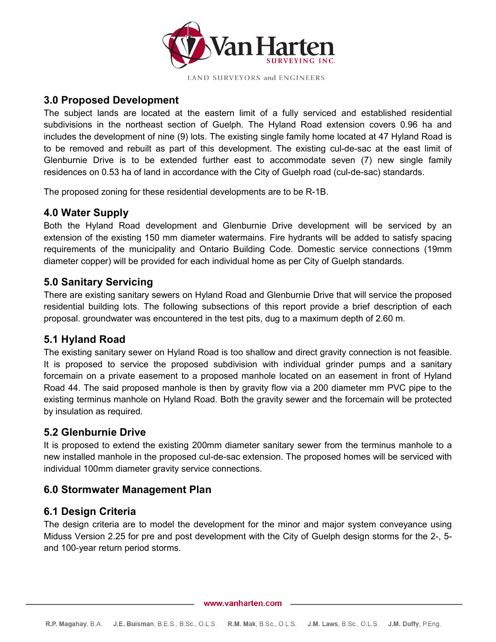

#### **3.0 Proposed Development**

The subject lands are located at the eastern limit of a fully serviced and established residential subdivisions in the northeast section of Guelph. The Hyland Road extension covers 0.96 ha and includes the development of nine (9) lots. The existing single family home located at 47 Hyland Road is to be removed and rebuilt as part of this development. The existing cul-de-sac at the east limit of Glenburnie Drive is to be extended further east to accommodate seven (7) new single family residences on 0.53 ha of land in accordance with the City of Guelph road (cul-de-sac) standards.

The proposed zoning for these residential developments are to be R-1B.

#### **4.0 Water Supply**

Both the Hyland Road development and Glenburnie Drive development will be serviced by an extension of the existing 150 mm diameter watermains. Fire hydrants will be added to satisfy spacing requirements of the municipality and Ontario Building Code. Domestic service connections (19mm diameter copper) will be provided for each individual home as per City of Guelph standards.

#### **5.0 Sanitary Servicing**

There are existing sanitary sewers on Hyland Road and Glenburnie Drive that will service the proposed residential building lots. The following subsections of this report provide a brief description of each proposal. groundwater was encountered in the test pits, dug to a maximum depth of 2.60 m.

## **5.1 Hyland Road**

The existing sanitary sewer on Hyland Road is too shallow and direct gravity connection is not feasible. It is proposed to service the proposed subdivision with individual grinder pumps and a sanitary forcemain on a private easement to a proposed manhole located on an easement in front of Hyland Road 44. The said proposed manhole is then by gravity flow via a 200 diameter mm PVC pipe to the existing terminus manhole on Hyland Road. Both the gravity sewer and the forcemain will be protected by insulation as required.

#### **5.2 Glenburnie Drive**

It is proposed to extend the existing 200mm diameter sanitary sewer from the terminus manhole to a new installed manhole in the proposed cul-de-sac extension. The proposed homes will be serviced with individual 100mm diameter gravity service connections.

## **6.0 Stormwater Management Plan**

## **6.1 Design Criteria**

The design criteria are to model the development for the minor and major system conveyance using Miduss Version 2.25 for pre and post development with the City of Guelph design storms for the 2-, 5 and 100-year return period storms.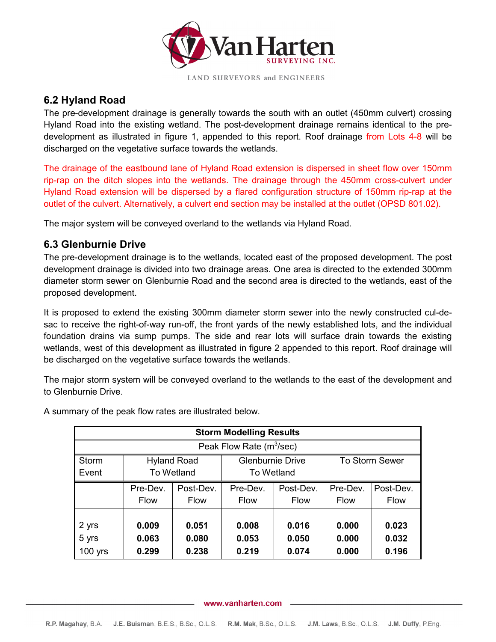

# **6.2 Hyland Road**

The pre-development drainage is generally towards the south with an outlet (450mm culvert) crossing Hyland Road into the existing wetland. The post-development drainage remains identical to the predevelopment as illustrated in figure 1, appended to this report. Roof drainage from Lots 4-8 will be discharged on the vegetative surface towards the wetlands.

The drainage of the eastbound lane of Hyland Road extension is dispersed in sheet flow over 150mm rip-rap on the ditch slopes into the wetlands. The drainage through the 450mm cross-culvert under Hyland Road extension will be dispersed by a flared configuration structure of 150mm rip-rap at the outlet of the culvert. Alternatively, a culvert end section may be installed at the outlet (OPSD 801.02).

The major system will be conveyed overland to the wetlands via Hyland Road.

# **6.3 Glenburnie Drive**

The pre-development drainage is to the wetlands, located east of the proposed development. The post development drainage is divided into two drainage areas. One area is directed to the extended 300mm diameter storm sewer on Glenburnie Road and the second area is directed to the wetlands, east of the proposed development.

It is proposed to extend the existing 300mm diameter storm sewer into the newly constructed cul-desac to receive the right-of-way run-off, the front yards of the newly established lots, and the individual foundation drains via sump pumps. The side and rear lots will surface drain towards the existing wetlands, west of this development as illustrated in figure 2 appended to this report. Roof drainage will be discharged on the vegetative surface towards the wetlands.

The major storm system will be conveyed overland to the wetlands to the east of the development and to Glenburnie Drive.

| <b>Storm Modelling Results</b>       |                    |             |                         |             |                |             |  |  |  |  |  |  |
|--------------------------------------|--------------------|-------------|-------------------------|-------------|----------------|-------------|--|--|--|--|--|--|
| Peak Flow Rate (m <sup>3</sup> /sec) |                    |             |                         |             |                |             |  |  |  |  |  |  |
| <b>Storm</b>                         | <b>Hyland Road</b> |             | <b>Glenburnie Drive</b> |             | To Storm Sewer |             |  |  |  |  |  |  |
| Event                                | <b>To Wetland</b>  |             | <b>To Wetland</b>       |             |                |             |  |  |  |  |  |  |
|                                      | Pre-Dev.           | Post-Dev.   | Pre-Dev.                | Post-Dev.   | Pre-Dev.       | Post-Dev.   |  |  |  |  |  |  |
|                                      | Flow               | <b>Flow</b> | <b>Flow</b>             | <b>Flow</b> | <b>Flow</b>    | <b>Flow</b> |  |  |  |  |  |  |
|                                      |                    |             |                         |             |                |             |  |  |  |  |  |  |
| 2 yrs                                | 0.009              | 0.051       | 0.008                   | 0.016       | 0.000          | 0.023       |  |  |  |  |  |  |
| 5 yrs                                | 0.063              | 0.080       | 0.053                   | 0.050       | 0.000          | 0.032       |  |  |  |  |  |  |
| $100$ yrs                            | 0.299              | 0.238       | 0.219                   | 0.074       | 0.000          | 0.196       |  |  |  |  |  |  |

A summary of the peak flow rates are illustrated below.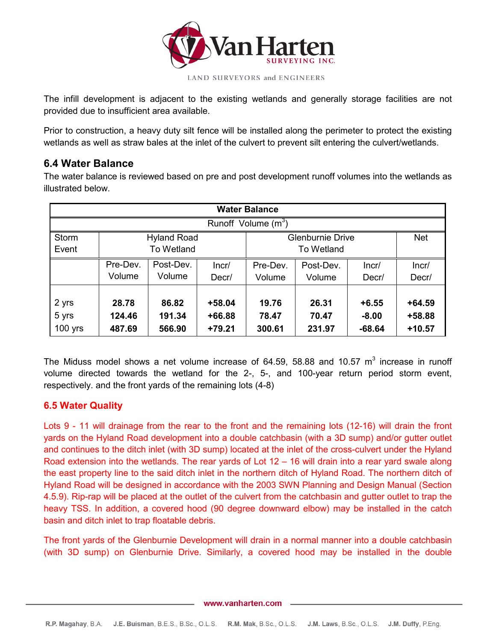

The infill development is adjacent to the existing wetlands and generally storage facilities are not provided due to insufficient area available.

Prior to construction, a heavy duty silt fence will be installed along the perimeter to protect the existing wetlands as well as straw bales at the inlet of the culvert to prevent silt entering the culvert/wetlands.

#### **6.4 Water Balance**

The water balance is reviewed based on pre and post development runoff volumes into the wetlands as illustrated below.

| <b>Water Balance</b>  |          |                    |          |                         |           |          |            |  |  |  |  |  |
|-----------------------|----------|--------------------|----------|-------------------------|-----------|----------|------------|--|--|--|--|--|
| Runoff Volume $(m^3)$ |          |                    |          |                         |           |          |            |  |  |  |  |  |
| <b>Storm</b>          |          | <b>Hyland Road</b> |          | <b>Glenburnie Drive</b> |           |          | <b>Net</b> |  |  |  |  |  |
| Event                 |          | <b>To Wetland</b>  |          | <b>To Wetland</b>       |           |          |            |  |  |  |  |  |
|                       | Pre-Dev. | Post-Dev.          | Incr/    | Pre-Dev.                | Post-Dev. | Incr/    | Incr/      |  |  |  |  |  |
|                       | Volume   | Volume             | Decr/    | Volume                  | Volume    | Decr/    | Decr/      |  |  |  |  |  |
|                       |          |                    |          |                         |           |          |            |  |  |  |  |  |
| 2 yrs                 | 28.78    | 86.82              | $+58.04$ | 19.76                   | 26.31     | $+6.55$  | $+64.59$   |  |  |  |  |  |
| 5 yrs                 | 124.46   | 191.34             | +66.88   | 78.47                   | 70.47     | $-8.00$  | +58.88     |  |  |  |  |  |
| $100$ yrs             | 487.69   | 566.90             | $+79.21$ | 300.61                  | 231.97    | $-68.64$ | $+10.57$   |  |  |  |  |  |

The Miduss model shows a net volume increase of 64.59, 58.88 and 10.57  $m^3$  increase in runoff volume directed towards the wetland for the 2-, 5-, and 100-year return period storm event, respectively. and the front yards of the remaining lots (4-8)

#### **6.5 Water Quality**

Lots 9 - 11 will drainage from the rear to the front and the remaining lots (12-16) will drain the front yards on the Hyland Road development into a double catchbasin (with a 3D sump) and/or gutter outlet and continues to the ditch inlet (with 3D sump) located at the inlet of the cross-culvert under the Hyland Road extension into the wetlands. The rear yards of Lot 12 – 16 will drain into a rear yard swale along the east property line to the said ditch inlet in the northern ditch of Hyland Road. The northern ditch of Hyland Road will be designed in accordance with the 2003 SWN Planning and Design Manual (Section 4.5.9). Rip-rap will be placed at the outlet of the culvert from the catchbasin and gutter outlet to trap the heavy TSS. In addition, a covered hood (90 degree downward elbow) may be installed in the catch basin and ditch inlet to trap floatable debris.

The front yards of the Glenburnie Development will drain in a normal manner into a double catchbasin (with 3D sump) on Glenburnie Drive. Similarly, a covered hood may be installed in the double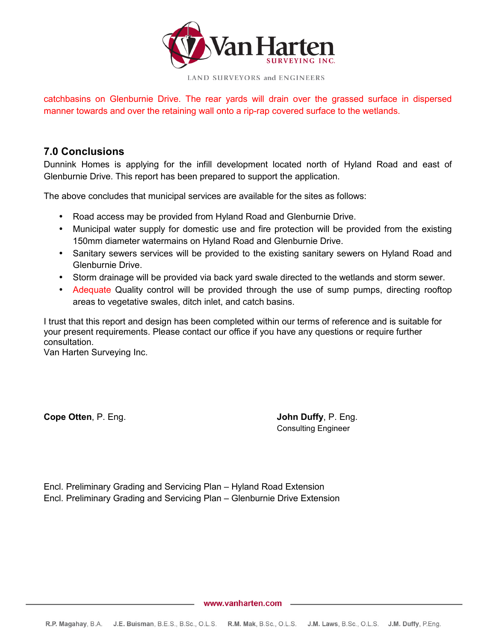

catchbasins on Glenburnie Drive. The rear yards will drain over the grassed surface in dispersed manner towards and over the retaining wall onto a rip-rap covered surface to the wetlands.

## **7.0 Conclusions**

Dunnink Homes is applying for the infill development located north of Hyland Road and east of Glenburnie Drive. This report has been prepared to support the application.

The above concludes that municipal services are available for the sites as follows:

- Road access may be provided from Hyland Road and Glenburnie Drive.
- Municipal water supply for domestic use and fire protection will be provided from the existing 150mm diameter watermains on Hyland Road and Glenburnie Drive.
- Sanitary sewers services will be provided to the existing sanitary sewers on Hyland Road and Glenburnie Drive.
- Storm drainage will be provided via back yard swale directed to the wetlands and storm sewer.
- Adequate Quality control will be provided through the use of sump pumps, directing rooftop areas to vegetative swales, ditch inlet, and catch basins.

I trust that this report and design has been completed within our terms of reference and is suitable for your present requirements. Please contact our office if you have any questions or require further consultation.

Van Harten Surveying Inc.

**Cope Otten**, P. Eng. **John Duffy**, P. Eng.

Consulting Engineer

Encl. Preliminary Grading and Servicing Plan – Hyland Road Extension Encl. Preliminary Grading and Servicing Plan – Glenburnie Drive Extension